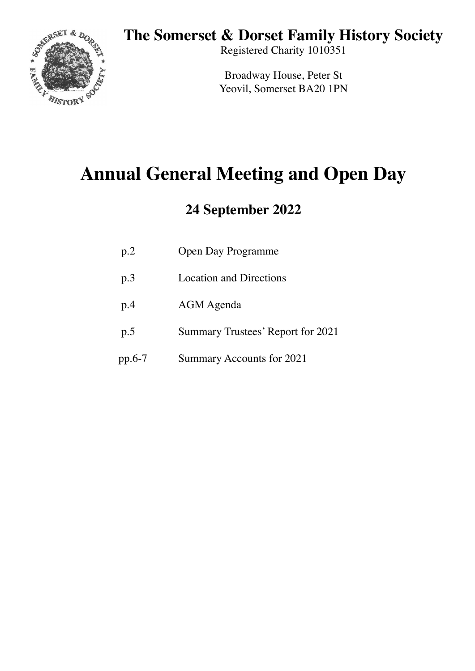## **The Somerset & Dorset Family History Society**



Registered Charity 1010351

Broadway House, Peter St Yeovil, Somerset BA20 1PN

# **Annual General Meeting and Open Day**

## **24 September 2022**

| p.2 | <b>Open Day Programme</b> |
|-----|---------------------------|
|     |                           |

- p.3 Location and Directions
- p.4 AGM Agenda
- p.5 Summary Trustees' Report for 2021
- pp.6-7 Summary Accounts for 2021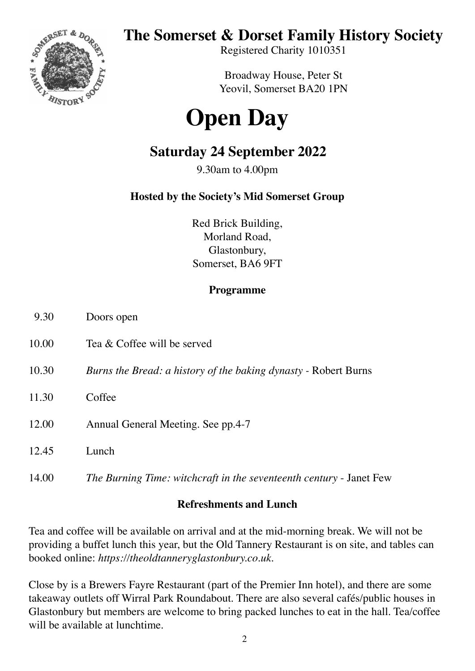

# **The Somerset & Dorset Family History Society**

Registered Charity 1010351

Broadway House, Peter St Yeovil, Somerset BA20 1PN

# **Open Day**

## **Saturday 24 September 2022**

9.30am to 4.00pm

## **Hosted by the Society's Mid Somerset Group**

Red Brick Building, Morland Road, Glastonbury, Somerset, BA6 9FT

### **Programme**

- 9.30 Doors open
- 10.00 Tea & Coffee will be served
- 10.30 *Burns the Bread: a history of the baking dynasty* Robert Burns
- 11.30 Coffee
- 12.00 Annual General Meeting. See pp.4-7
- 12.45 Lunch
- 14.00 *The Burning Time: witchcraft in the seventeenth century* Janet Few

#### **Refreshments and Lunch**

Tea and coffee will be available on arrival and at the mid-morning break. We will not be providing a buffet lunch this year, but the Old Tannery Restaurant is on site, and tables can booked online: *https://theoldtanneryglastonbury.co.uk*.

Close by is a Brewers Fayre Restaurant (part of the Premier Inn hotel), and there are some takeaway outlets off Wirral Park Roundabout. There are also several cafés/public houses in Glastonbury but members are welcome to bring packed lunches to eat in the hall. Tea/coffee will be available at lunchtime.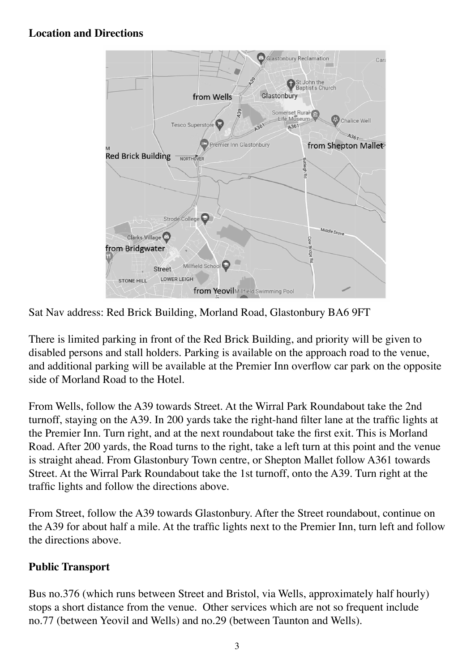### **Location and Directions**



Sat Nav address: Red Brick Building, Morland Road, Glastonbury BA6 9FT

There is limited parking in front of the Red Brick Building, and priority will be given to disabled persons and stall holders. Parking is available on the approach road to the venue, and additional parking will be available at the Premier Inn overflow car park on the opposite side of Morland Road to the Hotel.

From Wells, follow the A39 towards Street. At the Wirral Park Roundabout take the 2nd turnoff, staying on the A39. In 200 yards take the right-hand filter lane at the traffic lights at the Premier Inn. Turn right, and at the next roundabout take the first exit. This is Morland Road. After 200 yards, the Road turns to the right, take a left turn at this point and the venue is straight ahead. From Glastonbury Town centre, or Shepton Mallet follow A361 towards Street. At the Wirral Park Roundabout take the 1st turnoff, onto the A39. Turn right at the traffic lights and follow the directions above.

From Street, follow the A39 towards Glastonbury. After the Street roundabout, continue on the A39 for about half a mile. At the traffic lights next to the Premier Inn, turn left and follow the directions above.

## **Public Transport**

Bus no.376 (which runs between Street and Bristol, via Wells, approximately half hourly) stops a short distance from the venue. Other services which are not so frequent include no.77 (between Yeovil and Wells) and no.29 (between Taunton and Wells).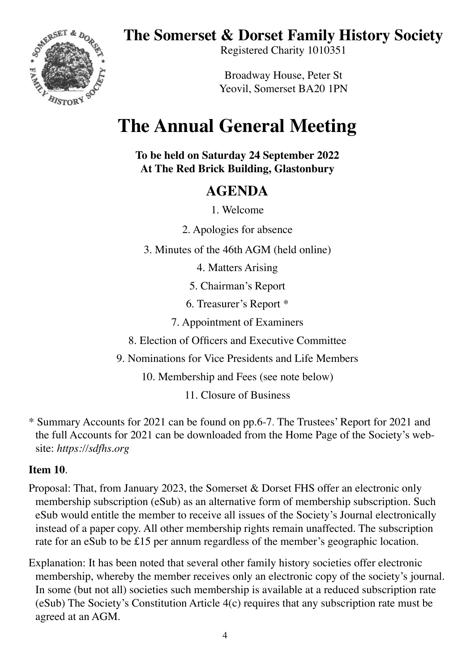**The Somerset & Dorset Family History Society**



Registered Charity 1010351

Broadway House, Peter St Yeovil, Somerset BA20 1PN

# **The Annual General Meeting**

**To be held on Saturday 24 September 2022 At The Red Brick Building, Glastonbury**

## **AGENDA**

1. Welcome

2. Apologies for absence

3. Minutes of the 46th AGM (held online)

4. Matters Arising

5. Chairman's Report

6. Treasurer's Report \*

7. Appointment of Examiners

8. Election of Officers and Executive Committee

9. Nominations for Vice Presidents and Life Members

10. Membership and Fees (see note below)

11. Closure of Business

\* Summary Accounts for 2021 can be found on pp.6-7. The Trustees' Report for 2021 and the full Accounts for 2021 can be downloaded from the Home Page of the Society's website: *https://sdfhs.org*

### **Item 10**.

- Proposal: That, from January 2023, the Somerset & Dorset FHS offer an electronic only membership subscription (eSub) as an alternative form of membership subscription. Such eSub would entitle the member to receive all issues of the Society's Journal electronically instead of a paper copy. All other membership rights remain unaffected. The subscription rate for an eSub to be £15 per annum regardless of the member's geographic location.
- Explanation: It has been noted that several other family history societies offer electronic membership, whereby the member receives only an electronic copy of the society's journal. In some (but not all) societies such membership is available at a reduced subscription rate (eSub) The Society's Constitution Article 4(c) requires that any subscription rate must be agreed at an AGM.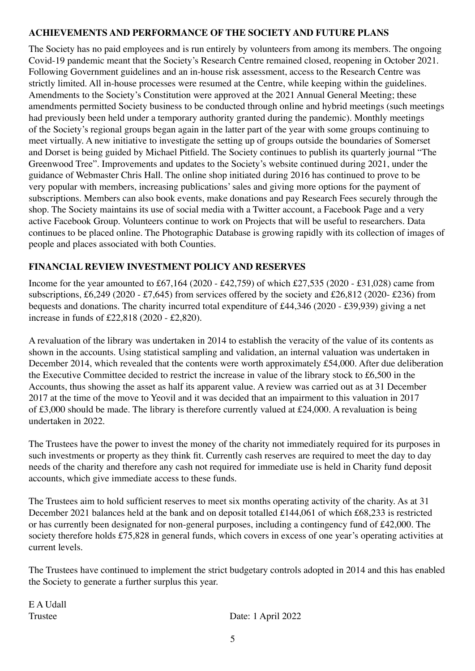#### **ACHIEVEMENTS AND PERFORMANCE OF THE SOCIETY AND FUTURE PLANS**

The Society has no paid employees and is run entirely by volunteers from among its members. The ongoing Covid-19 pandemic meant that the Society's Research Centre remained closed, reopening in October 2021. Following Government guidelines and an in-house risk assessment, access to the Research Centre was strictly limited. All in-house processes were resumed at the Centre, while keeping within the guidelines. Amendments to the Society's Constitution were approved at the 2021 Annual General Meeting; these amendments permitted Society business to be conducted through online and hybrid meetings (such meetings had previously been held under a temporary authority granted during the pandemic). Monthly meetings of the Society's regional groups began again in the latter part of the year with some groups continuing to meet virtually. A new initiative to investigate the setting up of groups outside the boundaries of Somerset and Dorset is being guided by Michael Pitfield. The Society continues to publish its quarterly journal "The Greenwood Tree". Improvements and updates to the Society's website continued during 2021, under the guidance of Webmaster Chris Hall. The online shop initiated during 2016 has continued to prove to be very popular with members, increasing publications' sales and giving more options for the payment of subscriptions. Members can also book events, make donations and pay Research Fees securely through the shop. The Society maintains its use of social media with a Twitter account, a Facebook Page and a very active Facebook Group. Volunteers continue to work on Projects that will be useful to researchers. Data continues to be placed online. The Photographic Database is growing rapidly with its collection of images of people and places associated with both Counties.

#### **FINANCIAL REVIEW INVESTMENT POLICY AND RESERVES**

Income for the year amounted to £67,164 (2020 - £42,759) of which £27,535 (2020 - £31,028) came from subscriptions, £6,249 (2020 - £7,645) from services offered by the society and £26,812 (2020- £236) from bequests and donations. The charity incurred total expenditure of £44,346 (2020 - £39,939) giving a net increase in funds of £22,818 (2020 - £2,820).

A revaluation of the library was undertaken in 2014 to establish the veracity of the value of its contents as shown in the accounts. Using statistical sampling and validation, an internal valuation was undertaken in December 2014, which revealed that the contents were worth approximately £54,000. After due deliberation the Executive Committee decided to restrict the increase in value of the library stock to £6,500 in the Accounts, thus showing the asset as half its apparent value. A review was carried out as at 31 December 2017 at the time of the move to Yeovil and it was decided that an impairment to this valuation in 2017 of £3,000 should be made. The library is therefore currently valued at £24,000. A revaluation is being undertaken in 2022.

The Trustees have the power to invest the money of the charity not immediately required for its purposes in such investments or property as they think fit. Currently cash reserves are required to meet the day to day needs of the charity and therefore any cash not required for immediate use is held in Charity fund deposit accounts, which give immediate access to these funds.

The Trustees aim to hold sufficient reserves to meet six months operating activity of the charity. As at 31 December 2021 balances held at the bank and on deposit totalled £144,061 of which £68,233 is restricted or has currently been designated for non-general purposes, including a contingency fund of £42,000. The society therefore holds £75,828 in general funds, which covers in excess of one year's operating activities at current levels.

The Trustees have continued to implement the strict budgetary controls adopted in 2014 and this has enabled the Society to generate a further surplus this year.

E A Udall

Trustee Date: 1 April 2022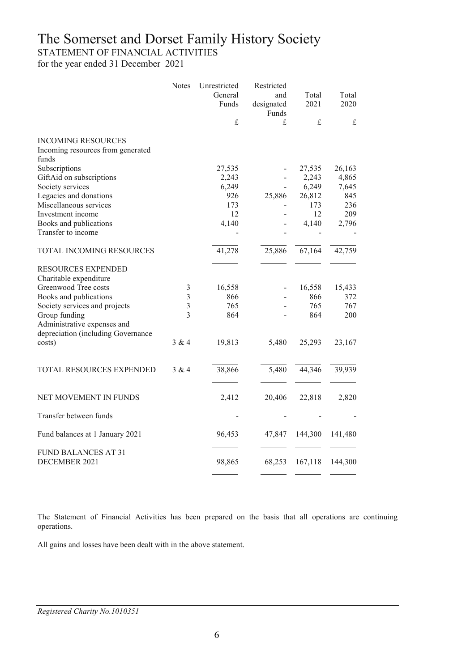## The Somerset and Dorset Family History Society

STATEMENT OF FINANCIAL ACTIVITIES

for the year ended 31 December 2021

|                                                                         | <b>Notes</b>            | Unrestricted<br>General<br>Funds<br>$\pounds$ | Restricted<br>and<br>designated<br>Funds<br>£ | Total<br>2021<br>$\mathbf f$ | Total<br>2020<br>$\mathbf f$ |
|-------------------------------------------------------------------------|-------------------------|-----------------------------------------------|-----------------------------------------------|------------------------------|------------------------------|
|                                                                         |                         |                                               |                                               |                              |                              |
| <b>INCOMING RESOURCES</b><br>Incoming resources from generated<br>funds |                         |                                               |                                               |                              |                              |
| Subscriptions                                                           |                         | 27,535                                        |                                               | 27,535                       | 26,163                       |
| GiftAid on subscriptions                                                |                         | 2,243                                         |                                               | 2,243                        | 4,865                        |
| Society services                                                        |                         | 6,249                                         | $\blacksquare$                                | 6,249                        | 7,645                        |
| Legacies and donations                                                  |                         | 926                                           | 25,886                                        | 26,812                       | 845                          |
| Miscellaneous services                                                  |                         | 173                                           |                                               | 173                          | 236                          |
| Investment income                                                       |                         | 12                                            |                                               | 12                           | 209                          |
| Books and publications<br>Transfer to income                            |                         | 4,140                                         |                                               | 4,140                        | 2,796                        |
|                                                                         |                         |                                               |                                               |                              |                              |
| TOTAL INCOMING RESOURCES                                                |                         | 41,278                                        | 25,886                                        | 67,164                       | 42,759                       |
| RESOURCES EXPENDED<br>Charitable expenditure                            |                         |                                               |                                               |                              |                              |
| Greenwood Tree costs                                                    | 3                       | 16,558                                        |                                               | 16,558                       | 15,433                       |
| Books and publications                                                  | $\overline{3}$          | 866                                           |                                               | 866                          | 372                          |
| Society services and projects                                           | $\overline{\mathbf{3}}$ | 765                                           |                                               | 765                          | 767                          |
| Group funding                                                           | 3                       | 864                                           |                                               | 864                          | 200                          |
| Administrative expenses and                                             |                         |                                               |                                               |                              |                              |
| depreciation (including Governance                                      |                         |                                               |                                               |                              |                              |
| costs)                                                                  | 3 & 4                   | 19,813                                        | 5,480                                         | 25,293                       | 23,167                       |
| TOTAL RESOURCES EXPENDED                                                | 3 & 4                   | 38,866                                        | 5,480                                         | 44,346                       | 39,939                       |
| NET MOVEMENT IN FUNDS                                                   |                         | 2,412                                         | 20,406                                        | 22,818                       | 2,820                        |
| Transfer between funds                                                  |                         |                                               |                                               |                              |                              |
| Fund balances at 1 January 2021                                         |                         | 96,453                                        | 47,847                                        | 144,300                      | 141,480                      |
| <b>FUND BALANCES AT 31</b><br>DECEMBER 2021                             |                         | 98,865                                        | 68,253                                        | 167,118                      | 144,300                      |

The Statement of Financial Activities has been prepared on the basis that all operations are continuing operations.

All gains and losses have been dealt with in the above statement.